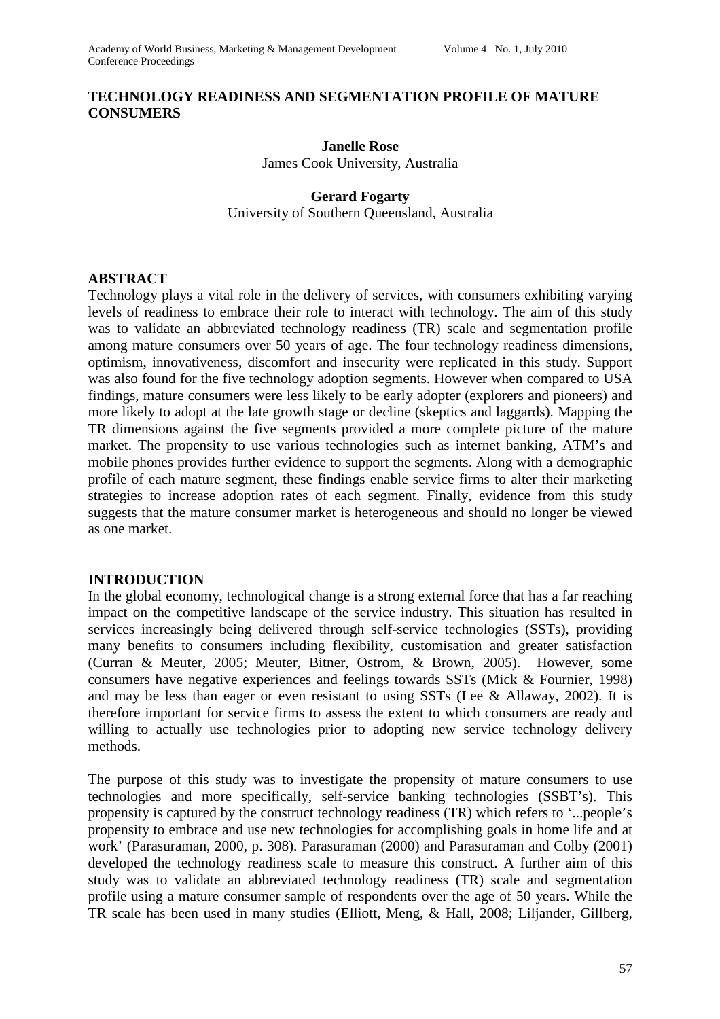### **TECHNOLOGY READINESS AND SEGMENTATION PROFILE OF MATURE CONSUMERS**

# **Janelle Rose**

James Cook University, Australia

### **Gerard Fogarty** University of Southern Queensland, Australia

#### **ABSTRACT**

Technology plays a vital role in the delivery of services, with consumers exhibiting varying levels of readiness to embrace their role to interact with technology. The aim of this study was to validate an abbreviated technology readiness (TR) scale and segmentation profile among mature consumers over 50 years of age. The four technology readiness dimensions, optimism, innovativeness, discomfort and insecurity were replicated in this study. Support was also found for the five technology adoption segments. However when compared to USA findings, mature consumers were less likely to be early adopter (explorers and pioneers) and more likely to adopt at the late growth stage or decline (skeptics and laggards). Mapping the TR dimensions against the five segments provided a more complete picture of the mature market. The propensity to use various technologies such as internet banking, ATM's and mobile phones provides further evidence to support the segments. Along with a demographic profile of each mature segment, these findings enable service firms to alter their marketing strategies to increase adoption rates of each segment. Finally, evidence from this study suggests that the mature consumer market is heterogeneous and should no longer be viewed as one market.

#### **INTRODUCTION**

In the global economy, technological change is a strong external force that has a far reaching impact on the competitive landscape of the service industry. This situation has resulted in services increasingly being delivered through self-service technologies (SSTs), providing many benefits to consumers including flexibility, customisation and greater satisfaction (Curran & Meuter, 2005; Meuter, Bitner, Ostrom, & Brown, 2005). However, some consumers have negative experiences and feelings towards SSTs (Mick & Fournier, 1998) and may be less than eager or even resistant to using SSTs (Lee & Allaway, 2002). It is therefore important for service firms to assess the extent to which consumers are ready and willing to actually use technologies prior to adopting new service technology delivery methods.

The purpose of this study was to investigate the propensity of mature consumers to use technologies and more specifically, self-service banking technologies (SSBT's). This propensity is captured by the construct technology readiness (TR) which refers to '...people's propensity to embrace and use new technologies for accomplishing goals in home life and at work' (Parasuraman, 2000, p. 308). Parasuraman (2000) and Parasuraman and Colby (2001) developed the technology readiness scale to measure this construct. A further aim of this study was to validate an abbreviated technology readiness (TR) scale and segmentation profile using a mature consumer sample of respondents over the age of 50 years. While the TR scale has been used in many studies (Elliott, Meng, & Hall, 2008; Liljander, Gillberg,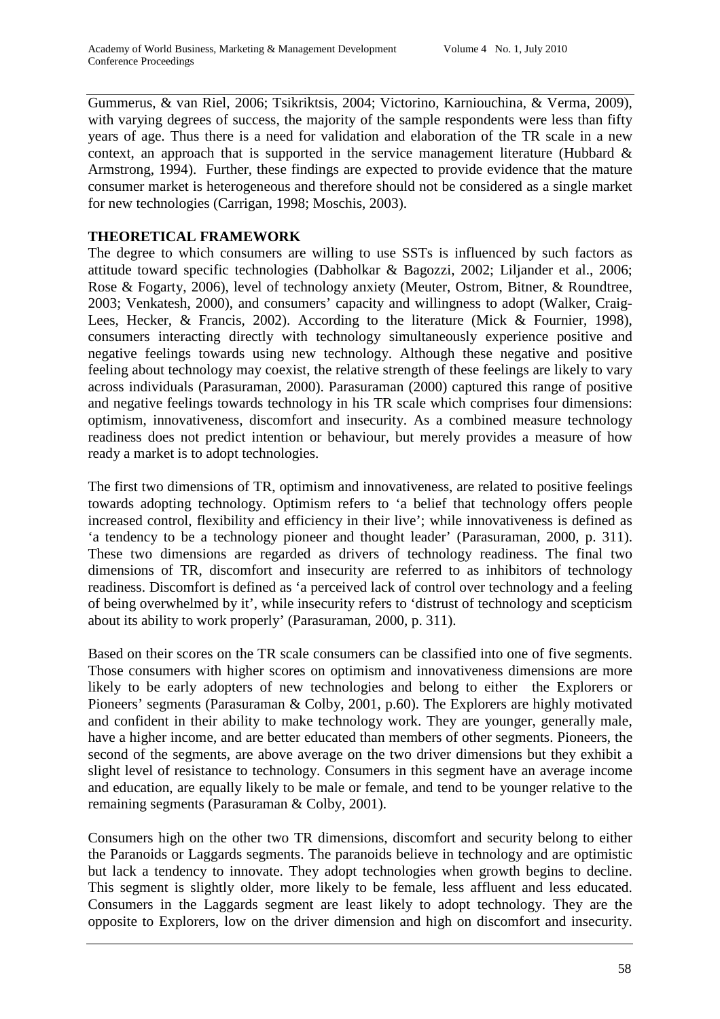Gummerus, & van Riel, 2006; Tsikriktsis, 2004; Victorino, Karniouchina, & Verma, 2009), with varying degrees of success, the majority of the sample respondents were less than fifty years of age. Thus there is a need for validation and elaboration of the TR scale in a new context, an approach that is supported in the service management literature (Hubbard  $\&$ Armstrong, 1994). Further, these findings are expected to provide evidence that the mature consumer market is heterogeneous and therefore should not be considered as a single market for new technologies (Carrigan, 1998; Moschis, 2003).

## **THEORETICAL FRAMEWORK**

The degree to which consumers are willing to use SSTs is influenced by such factors as attitude toward specific technologies (Dabholkar & Bagozzi, 2002; Liljander et al., 2006; Rose & Fogarty, 2006), level of technology anxiety (Meuter, Ostrom, Bitner, & Roundtree, 2003; Venkatesh, 2000), and consumers' capacity and willingness to adopt (Walker, Craig-Lees, Hecker, & Francis, 2002). According to the literature (Mick & Fournier, 1998), consumers interacting directly with technology simultaneously experience positive and negative feelings towards using new technology. Although these negative and positive feeling about technology may coexist, the relative strength of these feelings are likely to vary across individuals (Parasuraman, 2000). Parasuraman (2000) captured this range of positive and negative feelings towards technology in his TR scale which comprises four dimensions: optimism, innovativeness, discomfort and insecurity. As a combined measure technology readiness does not predict intention or behaviour, but merely provides a measure of how ready a market is to adopt technologies.

The first two dimensions of TR, optimism and innovativeness, are related to positive feelings towards adopting technology. Optimism refers to 'a belief that technology offers people increased control, flexibility and efficiency in their live'; while innovativeness is defined as 'a tendency to be a technology pioneer and thought leader' (Parasuraman, 2000, p. 311). These two dimensions are regarded as drivers of technology readiness. The final two dimensions of TR, discomfort and insecurity are referred to as inhibitors of technology readiness. Discomfort is defined as 'a perceived lack of control over technology and a feeling of being overwhelmed by it', while insecurity refers to 'distrust of technology and scepticism about its ability to work properly' (Parasuraman, 2000, p. 311).

Based on their scores on the TR scale consumers can be classified into one of five segments. Those consumers with higher scores on optimism and innovativeness dimensions are more likely to be early adopters of new technologies and belong to either the Explorers or Pioneers' segments (Parasuraman & Colby, 2001, p.60). The Explorers are highly motivated and confident in their ability to make technology work. They are younger, generally male, have a higher income, and are better educated than members of other segments. Pioneers, the second of the segments, are above average on the two driver dimensions but they exhibit a slight level of resistance to technology. Consumers in this segment have an average income and education, are equally likely to be male or female, and tend to be younger relative to the remaining segments (Parasuraman & Colby, 2001).

Consumers high on the other two TR dimensions, discomfort and security belong to either the Paranoids or Laggards segments. The paranoids believe in technology and are optimistic but lack a tendency to innovate. They adopt technologies when growth begins to decline. This segment is slightly older, more likely to be female, less affluent and less educated. Consumers in the Laggards segment are least likely to adopt technology. They are the opposite to Explorers, low on the driver dimension and high on discomfort and insecurity.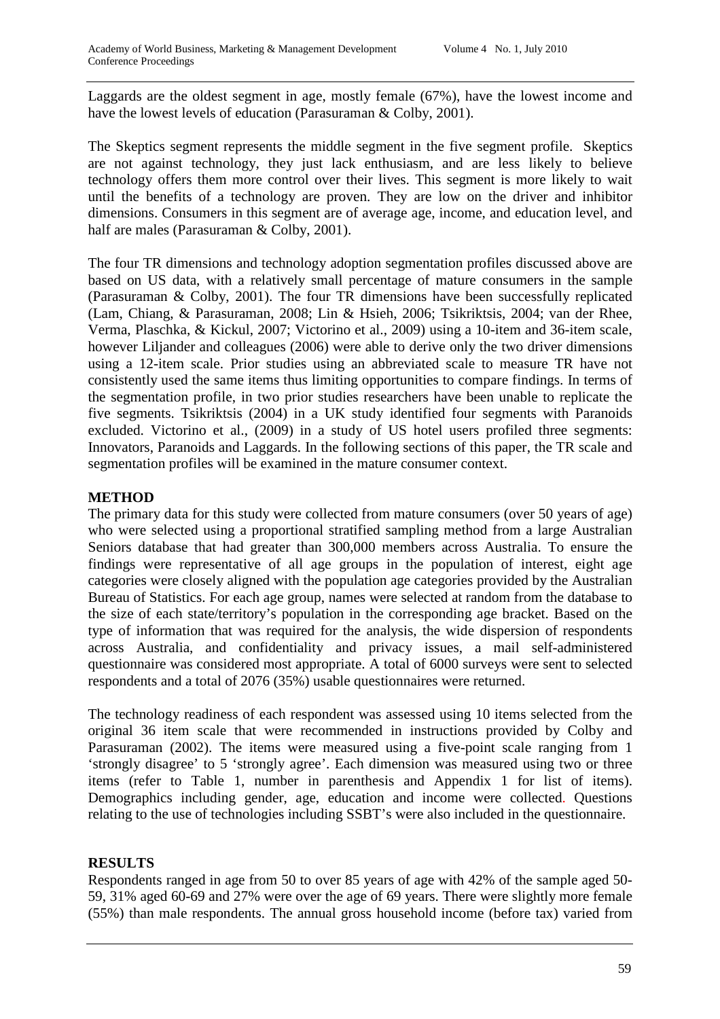Laggards are the oldest segment in age, mostly female (67%), have the lowest income and have the lowest levels of education (Parasuraman & Colby, 2001).

The Skeptics segment represents the middle segment in the five segment profile. Skeptics are not against technology, they just lack enthusiasm, and are less likely to believe technology offers them more control over their lives. This segment is more likely to wait until the benefits of a technology are proven. They are low on the driver and inhibitor dimensions. Consumers in this segment are of average age, income, and education level, and half are males (Parasuraman & Colby, 2001).

The four TR dimensions and technology adoption segmentation profiles discussed above are based on US data, with a relatively small percentage of mature consumers in the sample (Parasuraman & Colby, 2001). The four TR dimensions have been successfully replicated (Lam, Chiang, & Parasuraman, 2008; Lin & Hsieh, 2006; Tsikriktsis, 2004; van der Rhee, Verma, Plaschka, & Kickul, 2007; Victorino et al., 2009) using a 10-item and 36-item scale, however Liljander and colleagues (2006) were able to derive only the two driver dimensions using a 12-item scale. Prior studies using an abbreviated scale to measure TR have not consistently used the same items thus limiting opportunities to compare findings. In terms of the segmentation profile, in two prior studies researchers have been unable to replicate the five segments. Tsikriktsis (2004) in a UK study identified four segments with Paranoids excluded. Victorino et al., (2009) in a study of US hotel users profiled three segments: Innovators, Paranoids and Laggards. In the following sections of this paper, the TR scale and segmentation profiles will be examined in the mature consumer context.

## **METHOD**

The primary data for this study were collected from mature consumers (over 50 years of age) who were selected using a proportional stratified sampling method from a large Australian Seniors database that had greater than 300,000 members across Australia. To ensure the findings were representative of all age groups in the population of interest, eight age categories were closely aligned with the population age categories provided by the Australian Bureau of Statistics. For each age group, names were selected at random from the database to the size of each state/territory's population in the corresponding age bracket. Based on the type of information that was required for the analysis, the wide dispersion of respondents across Australia, and confidentiality and privacy issues, a mail self-administered questionnaire was considered most appropriate. A total of 6000 surveys were sent to selected respondents and a total of 2076 (35%) usable questionnaires were returned.

The technology readiness of each respondent was assessed using 10 items selected from the original 36 item scale that were recommended in instructions provided by Colby and Parasuraman (2002). The items were measured using a five-point scale ranging from 1 'strongly disagree' to 5 'strongly agree'. Each dimension was measured using two or three items (refer to Table 1, number in parenthesis and Appendix 1 for list of items). Demographics including gender, age, education and income were collected. Questions relating to the use of technologies including SSBT's were also included in the questionnaire.

# **RESULTS**

Respondents ranged in age from 50 to over 85 years of age with 42% of the sample aged 50- 59, 31% aged 60-69 and 27% were over the age of 69 years. There were slightly more female (55%) than male respondents. The annual gross household income (before tax) varied from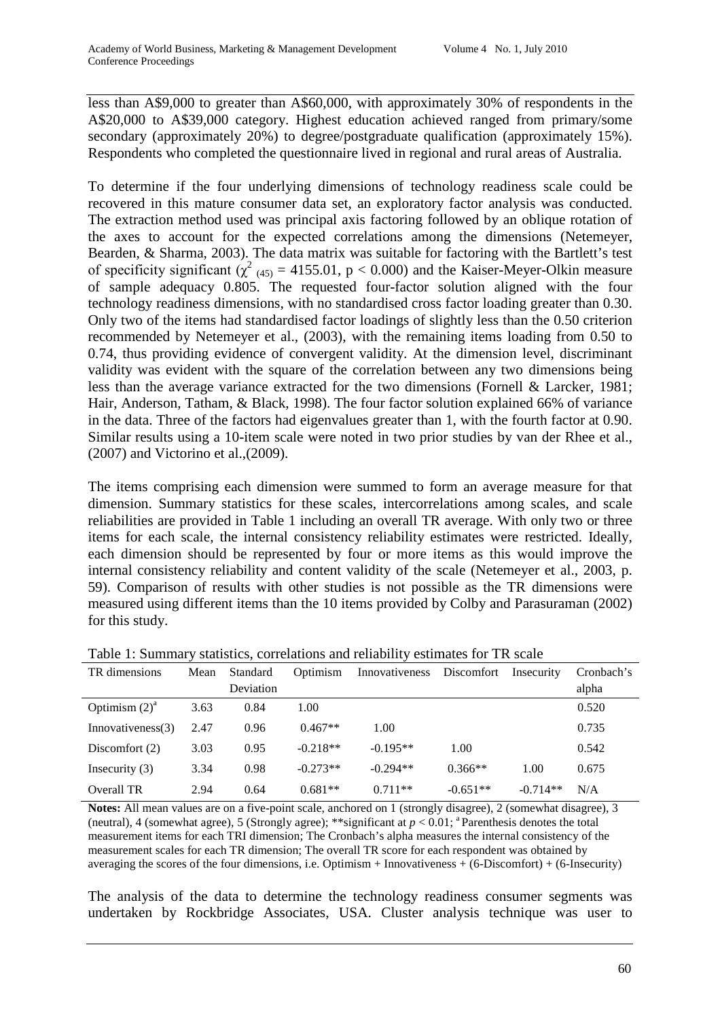less than A\$9,000 to greater than A\$60,000, with approximately 30% of respondents in the A\$20,000 to A\$39,000 category. Highest education achieved ranged from primary/some secondary (approximately 20%) to degree/postgraduate qualification (approximately 15%). Respondents who completed the questionnaire lived in regional and rural areas of Australia.

To determine if the four underlying dimensions of technology readiness scale could be recovered in this mature consumer data set, an exploratory factor analysis was conducted. The extraction method used was principal axis factoring followed by an oblique rotation of the axes to account for the expected correlations among the dimensions (Netemeyer, Bearden, & Sharma, 2003). The data matrix was suitable for factoring with the Bartlett's test of specificity significant  $(\chi^2)_{(45)} = 4155.01$ , p < 0.000) and the Kaiser-Meyer-Olkin measure of sample adequacy 0.805. The requested four-factor solution aligned with the four technology readiness dimensions, with no standardised cross factor loading greater than 0.30. Only two of the items had standardised factor loadings of slightly less than the 0.50 criterion recommended by Netemeyer et al., (2003), with the remaining items loading from 0.50 to 0.74, thus providing evidence of convergent validity. At the dimension level, discriminant validity was evident with the square of the correlation between any two dimensions being less than the average variance extracted for the two dimensions (Fornell & Larcker, 1981; Hair, Anderson, Tatham, & Black, 1998). The four factor solution explained 66% of variance in the data. Three of the factors had eigenvalues greater than 1, with the fourth factor at 0.90. Similar results using a 10-item scale were noted in two prior studies by van der Rhee et al., (2007) and Victorino et al.,(2009).

The items comprising each dimension were summed to form an average measure for that dimension. Summary statistics for these scales, intercorrelations among scales, and scale reliabilities are provided in Table 1 including an overall TR average. With only two or three items for each scale, the internal consistency reliability estimates were restricted. Ideally, each dimension should be represented by four or more items as this would improve the internal consistency reliability and content validity of the scale (Netemeyer et al., 2003, p. 59). Comparison of results with other studies is not possible as the TR dimensions were measured using different items than the 10 items provided by Colby and Parasuraman (2002) for this study.

| TR dimensions     | Mean | Standard  | Optimism   | Innovativeness | Discomfort | Insecurity | Cronbach's |
|-------------------|------|-----------|------------|----------------|------------|------------|------------|
|                   |      | Deviation |            |                |            |            | alpha      |
| Optimism $(2)^a$  | 3.63 | 0.84      | 1.00       |                |            |            | 0.520      |
| Innovativeness(3) | 2.47 | 0.96      | $0.467**$  | 1.00           |            |            | 0.735      |
| Discomfort $(2)$  | 3.03 | 0.95      | $-0.218**$ | $-0.195**$     | 1.00       |            | 0.542      |
| Insecurity $(3)$  | 3.34 | 0.98      | $-0.273**$ | $-0.294**$     | $0.366**$  | 1.00       | 0.675      |
| Overall TR        | 2.94 | 0.64      | $0.681**$  | $0.711**$      | $-0.651**$ | $-0.714**$ | N/A        |

Table 1: Summary statistics, correlations and reliability estimates for TR scale

**Notes:** All mean values are on a five-point scale, anchored on 1 (strongly disagree), 2 (somewhat disagree), 3 (neutral), 4 (somewhat agree), 5 (Strongly agree); \*\*significant at  $p < 0.01$ ; <sup>a</sup> Parenthesis denotes the total measurement items for each TRI dimension; The Cronbach's alpha measures the internal consistency of the measurement scales for each TR dimension; The overall TR score for each respondent was obtained by averaging the scores of the four dimensions, i.e. Optimism + Innovativeness + (6-Discomfort) + (6-Insecurity)

The analysis of the data to determine the technology readiness consumer segments was undertaken by Rockbridge Associates, USA. Cluster analysis technique was user to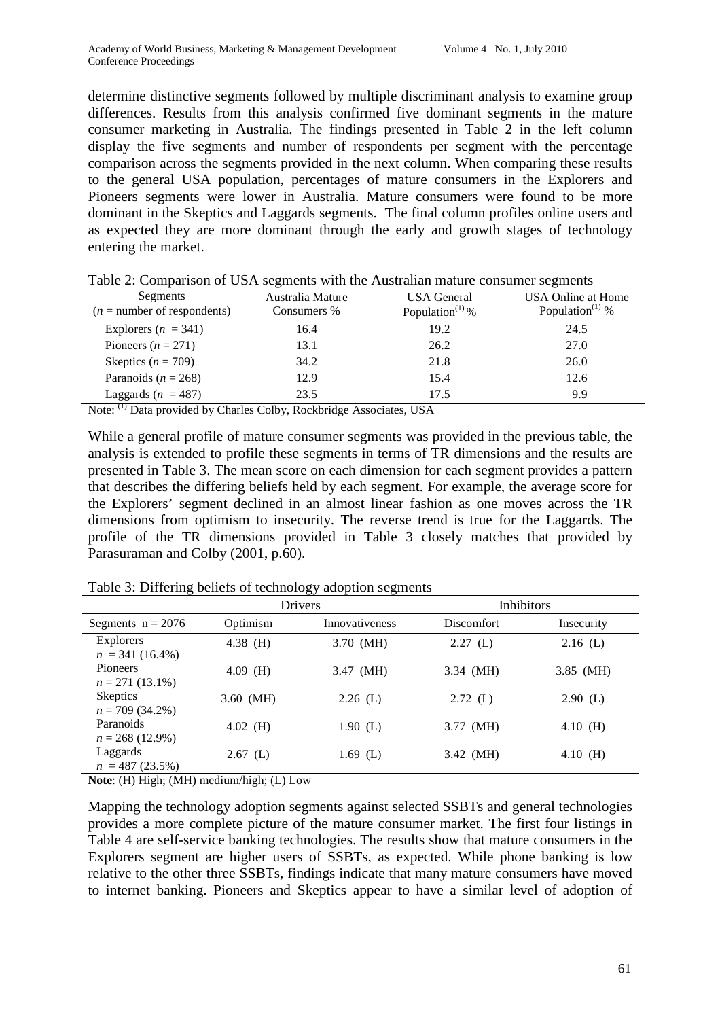determine distinctive segments followed by multiple discriminant analysis to examine group differences. Results from this analysis confirmed five dominant segments in the mature consumer marketing in Australia. The findings presented in Table 2 in the left column display the five segments and number of respondents per segment with the percentage comparison across the segments provided in the next column. When comparing these results to the general USA population, percentages of mature consumers in the Explorers and Pioneers segments were lower in Australia. Mature consumers were found to be more dominant in the Skeptics and Laggards segments. The final column profiles online users and as expected they are more dominant through the early and growth stages of technology entering the market.

| Segments<br>$(n =$ number of respondents) | Australia Mature<br>Consumers % | <b>USA</b> General<br>Population <sup><math>(1)</math></sup> % | <b>USA Online at Home</b><br>Population <sup><math>(1)</math></sup> % |
|-------------------------------------------|---------------------------------|----------------------------------------------------------------|-----------------------------------------------------------------------|
|                                           |                                 |                                                                |                                                                       |
| Explorers $(n = 341)$                     | 16.4                            | 19.2                                                           | 24.5                                                                  |
| Pioneers $(n = 271)$                      | 13.1                            | 26.2                                                           | 27.0                                                                  |
| Skeptics $(n = 709)$                      | 34.2                            | 21.8                                                           | 26.0                                                                  |
| Paranoids ( $n = 268$ )                   | 12.9                            | 15.4                                                           | 12.6                                                                  |
| Laggards ( $n = 487$ )<br>(1)             | 23.5                            | 17.5                                                           | 9.9                                                                   |

Table 2: Comparison of USA segments with the Australian mature consumer segments

Note: (1) Data provided by Charles Colby, Rockbridge Associates, USA

While a general profile of mature consumer segments was provided in the previous table, the analysis is extended to profile these segments in terms of TR dimensions and the results are presented in Table 3. The mean score on each dimension for each segment provides a pattern that describes the differing beliefs held by each segment. For example, the average score for the Explorers' segment declined in an almost linear fashion as one moves across the TR dimensions from optimism to insecurity. The reverse trend is true for the Laggards. The profile of the TR dimensions provided in Table 3 closely matches that provided by Parasuraman and Colby (2001, p.60).

Table 3: Differing beliefs of technology adoption segments

|                                                                                                                                                                                                                                                                                                  |            | Drivers        | <b>Inhibitors</b> |            |  |
|--------------------------------------------------------------------------------------------------------------------------------------------------------------------------------------------------------------------------------------------------------------------------------------------------|------------|----------------|-------------------|------------|--|
| Segments $n = 2076$                                                                                                                                                                                                                                                                              | Optimism   | Innovativeness | <b>Discomfort</b> | Insecurity |  |
| <b>Explorers</b><br>$n = 341(16.4\%)$                                                                                                                                                                                                                                                            | 4.38 $(H)$ | 3.70 (MH)      | 2.27(L)           | $2.16$ (L) |  |
| Pioneers<br>$n = 271(13.1\%)$                                                                                                                                                                                                                                                                    | $4.09$ (H) | 3.47 (MH)      | 3.34 (MH)         | 3.85 (MH)  |  |
| <b>Skeptics</b><br>$n = 709(34.2\%)$                                                                                                                                                                                                                                                             | 3.60 (MH)  | $2.26$ (L)     | $2.72$ (L)        | $2.90$ (L) |  |
| Paranoids<br>$n = 268(12.9\%)$                                                                                                                                                                                                                                                                   | $4.02$ (H) | 1.90(L)        | 3.77 (MH)         | 4.10 $(H)$ |  |
| Laggards<br>$n = 487(23.5\%)$                                                                                                                                                                                                                                                                    | $2.67$ (L) | $1.69$ (L)     | 3.42 (MH)         | $4.10$ (H) |  |
| $\mathbf{M}$ and $\mathbf{M}$ and $\mathbf{M}$ and $\mathbf{M}$ and $\mathbf{M}$ and $\mathbf{M}$ and $\mathbf{M}$ and $\mathbf{M}$ and $\mathbf{M}$ and $\mathbf{M}$ and $\mathbf{M}$ and $\mathbf{M}$ and $\mathbf{M}$ and $\mathbf{M}$ and $\mathbf{M}$ and $\mathbf{M}$ and $\mathbf{M}$ and |            |                |                   |            |  |

**Note**: (H) High; (MH) medium/high; (L) Low

Mapping the technology adoption segments against selected SSBTs and general technologies provides a more complete picture of the mature consumer market. The first four listings in Table 4 are self-service banking technologies. The results show that mature consumers in the Explorers segment are higher users of SSBTs, as expected. While phone banking is low relative to the other three SSBTs, findings indicate that many mature consumers have moved to internet banking. Pioneers and Skeptics appear to have a similar level of adoption of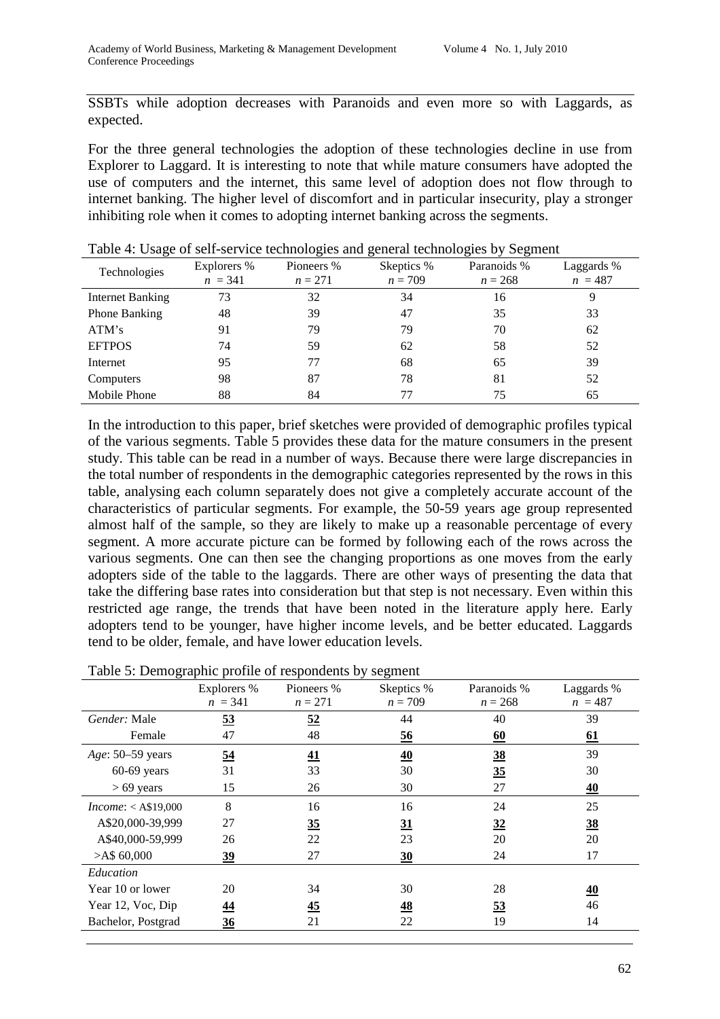SSBTs while adoption decreases with Paranoids and even more so with Laggards, as expected.

For the three general technologies the adoption of these technologies decline in use from Explorer to Laggard. It is interesting to note that while mature consumers have adopted the use of computers and the internet, this same level of adoption does not flow through to internet banking. The higher level of discomfort and in particular insecurity, play a stronger inhibiting role when it comes to adopting internet banking across the segments.

| Technologies         | Explorers %<br>$n = 341$ | Pioneers %<br>$n = 271$ | Skeptics %<br>$n = 709$ | Paranoids %<br>$n = 268$ | Laggards %<br>$n = 487$ |
|----------------------|--------------------------|-------------------------|-------------------------|--------------------------|-------------------------|
| Internet Banking     | 73                       | 32                      | 34                      | 16                       | 9                       |
| <b>Phone Banking</b> | 48                       | 39                      | 47                      | 35                       | 33                      |
| ATM's                | 91                       | 79                      | 79                      | 70                       | 62                      |
| <b>EFTPOS</b>        | 74                       | 59                      | 62                      | 58                       | 52                      |
| Internet             | 95                       | 77                      | 68                      | 65                       | 39                      |
| Computers            | 98                       | 87                      | 78                      | 81                       | 52                      |
| Mobile Phone         | 88                       | 84                      | 77                      | 75                       | 65                      |

Table 4: Usage of self-service technologies and general technologies by Segment

In the introduction to this paper, brief sketches were provided of demographic profiles typical of the various segments. Table 5 provides these data for the mature consumers in the present study. This table can be read in a number of ways. Because there were large discrepancies in the total number of respondents in the demographic categories represented by the rows in this table, analysing each column separately does not give a completely accurate account of the characteristics of particular segments. For example, the 50-59 years age group represented almost half of the sample, so they are likely to make up a reasonable percentage of every segment. A more accurate picture can be formed by following each of the rows across the various segments. One can then see the changing proportions as one moves from the early adopters side of the table to the laggards. There are other ways of presenting the data that take the differing base rates into consideration but that step is not necessary. Even within this restricted age range, the trends that have been noted in the literature apply here. Early adopters tend to be younger, have higher income levels, and be better educated. Laggards tend to be older, female, and have lower education levels.

|                                                                                               | Explorers %    | Pioneers %      | Skeptics %     | Paranoids % | Laggards %       |
|-----------------------------------------------------------------------------------------------|----------------|-----------------|----------------|-------------|------------------|
|                                                                                               | $n = 341$      | $n = 271$       | $n = 709$      | $n = 268$   | $n = 487$        |
| Gender: Male                                                                                  | 53             | 52              | 44             | 40          | 39               |
| Female                                                                                        | 47             | 48              | <u>56</u>      | 60          | <u>61</u>        |
| Age: 50–59 years                                                                              | $\frac{54}{5}$ | 41              | 40             | 38          | 39               |
| $60-69$ years                                                                                 | 31             | 33              | 30             | 35          | 30               |
| $> 69$ years                                                                                  | 15             | 26              | 30             | 27          | $\underline{40}$ |
| Income: <a\$19,000< td=""><td>8</td><td>16</td><td>16</td><td>24</td><td>25</td></a\$19,000<> | 8              | 16              | 16             | 24          | 25               |
| A\$20,000-39,999                                                                              | 27             | $\frac{35}{5}$  | 31             | 32          | $\underline{38}$ |
| A\$40,000-59,999                                                                              | 26             | 22              | 23             | 20          | 20               |
| $>$ A\$ 60,000                                                                                | $\frac{39}{2}$ | 27              | 30             | 24          | 17               |
| Education                                                                                     |                |                 |                |             |                  |
| Year 10 or lower                                                                              | 20             | 34              | 30             | 28          | $\underline{40}$ |
| Year 12, Voc, Dip                                                                             | <u>44</u>      | $\overline{45}$ | $\frac{48}{5}$ | 53          | 46               |
| Bachelor, Postgrad                                                                            | $\frac{36}{5}$ | 21              | 22             | 19          | 14               |

Table 5: Demographic profile of respondents by segment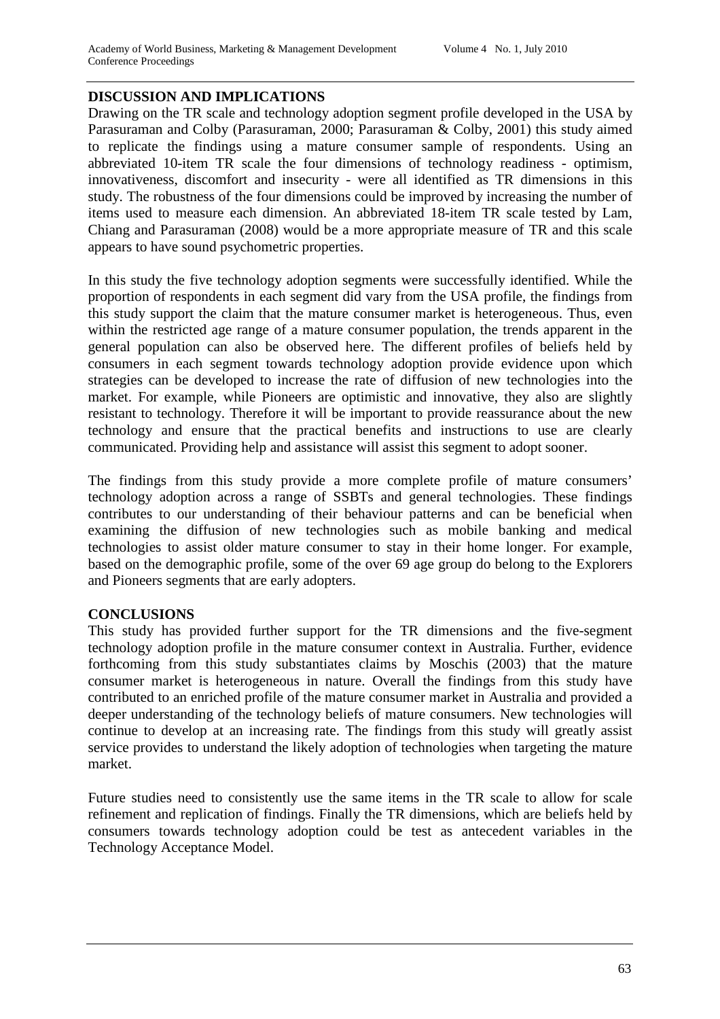### **DISCUSSION AND IMPLICATIONS**

Drawing on the TR scale and technology adoption segment profile developed in the USA by Parasuraman and Colby (Parasuraman, 2000; Parasuraman & Colby, 2001) this study aimed to replicate the findings using a mature consumer sample of respondents. Using an abbreviated 10-item TR scale the four dimensions of technology readiness - optimism, innovativeness, discomfort and insecurity - were all identified as TR dimensions in this study. The robustness of the four dimensions could be improved by increasing the number of items used to measure each dimension. An abbreviated 18-item TR scale tested by Lam, Chiang and Parasuraman (2008) would be a more appropriate measure of TR and this scale appears to have sound psychometric properties.

In this study the five technology adoption segments were successfully identified. While the proportion of respondents in each segment did vary from the USA profile, the findings from this study support the claim that the mature consumer market is heterogeneous. Thus, even within the restricted age range of a mature consumer population, the trends apparent in the general population can also be observed here. The different profiles of beliefs held by consumers in each segment towards technology adoption provide evidence upon which strategies can be developed to increase the rate of diffusion of new technologies into the market. For example, while Pioneers are optimistic and innovative, they also are slightly resistant to technology. Therefore it will be important to provide reassurance about the new technology and ensure that the practical benefits and instructions to use are clearly communicated. Providing help and assistance will assist this segment to adopt sooner.

The findings from this study provide a more complete profile of mature consumers' technology adoption across a range of SSBTs and general technologies. These findings contributes to our understanding of their behaviour patterns and can be beneficial when examining the diffusion of new technologies such as mobile banking and medical technologies to assist older mature consumer to stay in their home longer. For example, based on the demographic profile, some of the over 69 age group do belong to the Explorers and Pioneers segments that are early adopters.

### **CONCLUSIONS**

This study has provided further support for the TR dimensions and the five-segment technology adoption profile in the mature consumer context in Australia. Further, evidence forthcoming from this study substantiates claims by Moschis (2003) that the mature consumer market is heterogeneous in nature. Overall the findings from this study have contributed to an enriched profile of the mature consumer market in Australia and provided a deeper understanding of the technology beliefs of mature consumers. New technologies will continue to develop at an increasing rate. The findings from this study will greatly assist service provides to understand the likely adoption of technologies when targeting the mature market.

Future studies need to consistently use the same items in the TR scale to allow for scale refinement and replication of findings. Finally the TR dimensions, which are beliefs held by consumers towards technology adoption could be test as antecedent variables in the Technology Acceptance Model.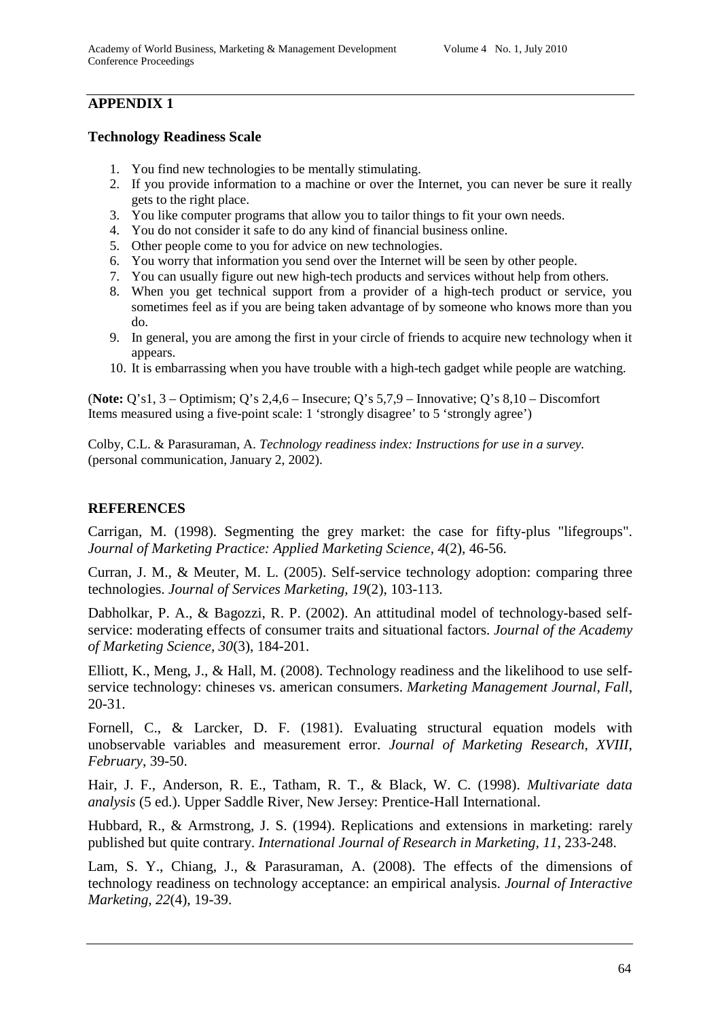# **APPENDIX 1**

#### **Technology Readiness Scale**

- 1. You find new technologies to be mentally stimulating.
- 2. If you provide information to a machine or over the Internet, you can never be sure it really gets to the right place.
- 3. You like computer programs that allow you to tailor things to fit your own needs.
- 4. You do not consider it safe to do any kind of financial business online.
- 5. Other people come to you for advice on new technologies.
- 6. You worry that information you send over the Internet will be seen by other people.
- 7. You can usually figure out new high-tech products and services without help from others.
- 8. When you get technical support from a provider of a high-tech product or service, you sometimes feel as if you are being taken advantage of by someone who knows more than you do.
- 9. In general, you are among the first in your circle of friends to acquire new technology when it appears.
- 10. It is embarrassing when you have trouble with a high-tech gadget while people are watching.

(**Note:** Q's1, 3 – Optimism; Q's 2,4,6 – Insecure; Q's 5,7,9 – Innovative; Q's 8,10 – Discomfort Items measured using a five-point scale: 1 'strongly disagree' to 5 'strongly agree')

Colby, C.L. & Parasuraman, A. *Technology readiness index: Instructions for use in a survey.* (personal communication, January 2, 2002).

### **REFERENCES**

Carrigan, M. (1998). Segmenting the grey market: the case for fifty-plus "lifegroups". *Journal of Marketing Practice: Applied Marketing Science, 4*(2), 46-56.

Curran, J. M., & Meuter, M. L. (2005). Self-service technology adoption: comparing three technologies. *Journal of Services Marketing, 19*(2), 103-113.

Dabholkar, P. A., & Bagozzi, R. P. (2002). An attitudinal model of technology-based selfservice: moderating effects of consumer traits and situational factors. *Journal of the Academy of Marketing Science, 30*(3), 184-201.

Elliott, K., Meng, J., & Hall, M. (2008). Technology readiness and the likelihood to use selfservice technology: chineses vs. american consumers. *Marketing Management Journal, Fall*, 20-31.

Fornell, C., & Larcker, D. F. (1981). Evaluating structural equation models with unobservable variables and measurement error. *Journal of Marketing Research, XVIII, February*, 39-50.

Hair, J. F., Anderson, R. E., Tatham, R. T., & Black, W. C. (1998). *Multivariate data analysis* (5 ed.). Upper Saddle River, New Jersey: Prentice-Hall International.

Hubbard, R., & Armstrong, J. S. (1994). Replications and extensions in marketing: rarely published but quite contrary. *International Journal of Research in Marketing, 11*, 233-248.

Lam, S. Y., Chiang, J., & Parasuraman, A. (2008). The effects of the dimensions of technology readiness on technology acceptance: an empirical analysis. *Journal of Interactive Marketing, 22*(4), 19-39.